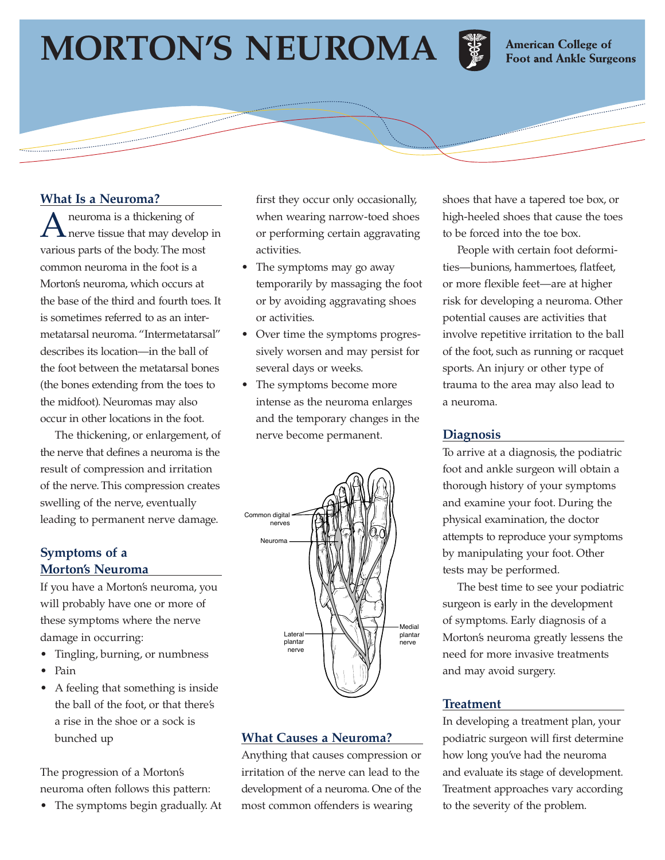# **MORTON'S NEUROMA**



**American College of Foot and Ankle Surgeons** 

## **What Is a Neuroma?**

A neuroma is a thickening of<br>
nerve tissue that may develop in various parts of the body. The most common neuroma in the foot is a Morton's neuroma, which occurs at the base of the third and fourth toes. It is sometimes referred to as an intermetatarsal neuroma. "Intermetatarsal" describes its location—in the ball of the foot between the metatarsal bones (the bones extending from the toes to the midfoot). Neuromas may also occur in other locations in the foot.

The thickening, or enlargement, of the nerve that defines a neuroma is the result of compression and irritation of the nerve. This compression creates swelling of the nerve, eventually leading to permanent nerve damage.

### **Symptoms of a Morton's Neuroma**

If you have a Morton's neuroma, you will probably have one or more of these symptoms where the nerve damage in occurring:

- Tingling, burning, or numbness
- Pain
- A feeling that something is inside the ball of the foot, or that there's a rise in the shoe or a sock is bunched up

The progression of a Morton's neuroma often follows this pattern:

• The symptoms begin gradually. At

first they occur only occasionally, when wearing narrow-toed shoes or performing certain aggravating activities.

- The symptoms may go away temporarily by massaging the foot or by avoiding aggravating shoes or activities.
- Over time the symptoms progressively worsen and may persist for several days or weeks.
- The symptoms become more intense as the neuroma enlarges and the temporary changes in the nerve become permanent.



# **What Causes a Neuroma?**

Anything that causes compression or irritation of the nerve can lead to the development of a neuroma. One of the most common offenders is wearing

shoes that have a tapered toe box, or high-heeled shoes that cause the toes to be forced into the toe box.

People with certain foot deformities—bunions, hammertoes, flatfeet, or more flexible feet—are at higher risk for developing a neuroma. Other potential causes are activities that involve repetitive irritation to the ball of the foot, such as running or racquet sports. An injury or other type of trauma to the area may also lead to a neuroma.

## **Diagnosis**

To arrive at a diagnosis, the podiatric foot and ankle surgeon will obtain a thorough history of your symptoms and examine your foot. During the physical examination, the doctor attempts to reproduce your symptoms by manipulating your foot. Other tests may be performed.

The best time to see your podiatric surgeon is early in the development of symptoms. Early diagnosis of a Morton's neuroma greatly lessens the need for more invasive treatments and may avoid surgery.

## **Treatment**

In developing a treatment plan, your podiatric surgeon will first determine how long you've had the neuroma and evaluate its stage of development. Treatment approaches vary according to the severity of the problem.